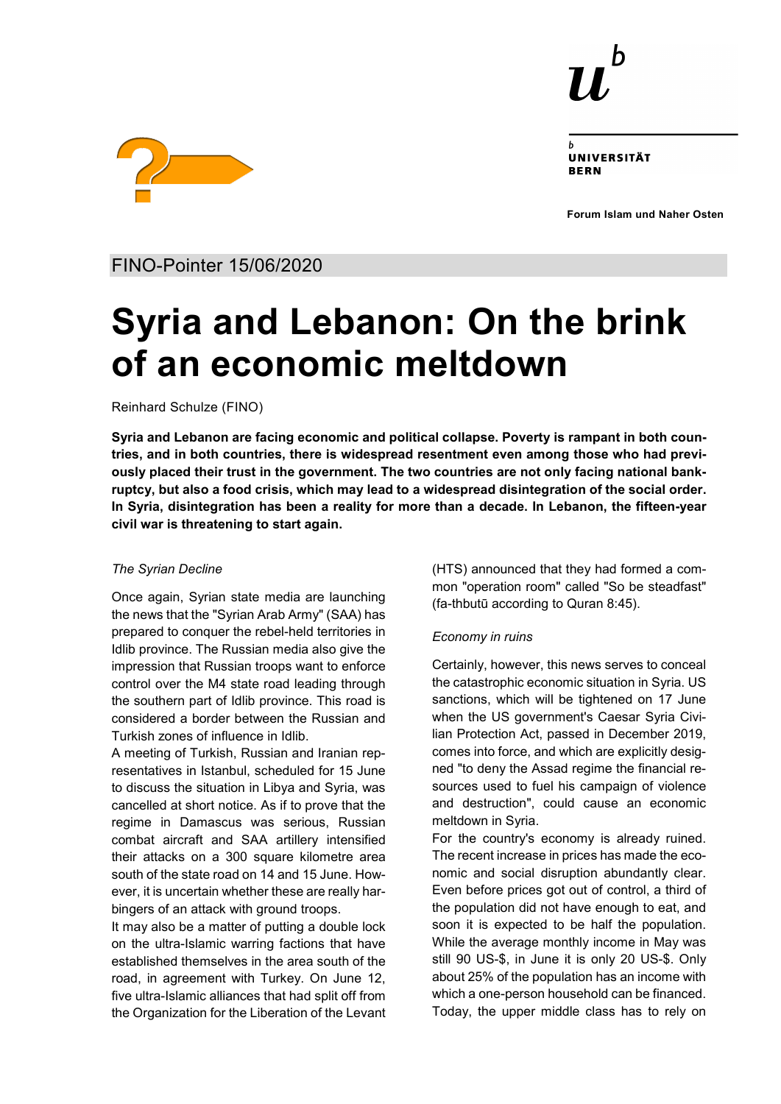

UNIVERSITÄT **RERN** 

**Forum Islam und Naher Osten**



FINO-Pointer 15/06/2020

# **Syria and Lebanon: On the brink of an economic meltdown**

Reinhard Schulze (FINO)

**Syria and Lebanon are facing economic and political collapse. Poverty is rampant in both countries, and in both countries, there is widespread resentment even among those who had previously placed their trust in the government. The two countries are not only facing national bankruptcy, but also a food crisis, which may lead to a widespread disintegration of the social order. In Syria, disintegration has been a reality for more than a decade. In Lebanon, the fifteen-year civil war is threatening to start again.**

# *The Syrian Decline*

Once again, Syrian state media are launching the news that the "Syrian Arab Army" (SAA) has prepared to conquer the rebel-held territories in Idlib province. The Russian media also give the impression that Russian troops want to enforce control over the M4 state road leading through the southern part of Idlib province. This road is considered a border between the Russian and Turkish zones of influence in Idlib.

A meeting of Turkish, Russian and Iranian representatives in Istanbul, scheduled for 15 June to discuss the situation in Libya and Syria, was cancelled at short notice. As if to prove that the regime in Damascus was serious, Russian combat aircraft and SAA artillery intensified their attacks on a 300 square kilometre area south of the state road on 14 and 15 June. However, it is uncertain whether these are really harbingers of an attack with ground troops.

It may also be a matter of putting a double lock on the ultra-Islamic warring factions that have established themselves in the area south of the road, in agreement with Turkey. On June 12, five ultra-Islamic alliances that had split off from the Organization for the Liberation of the Levant (HTS) announced that they had formed a common "operation room" called "So be steadfast" (fa-thbutū according to Quran 8:45).

# *Economy in ruins*

Certainly, however, this news serves to conceal the catastrophic economic situation in Syria. US sanctions, which will be tightened on 17 June when the US government's Caesar Syria Civilian Protection Act, passed in December 2019, comes into force, and which are explicitly designed "to deny the Assad regime the financial resources used to fuel his campaign of violence and destruction", could cause an economic meltdown in Syria.

For the country's economy is already ruined. The recent increase in prices has made the economic and social disruption abundantly clear. Even before prices got out of control, a third of the population did not have enough to eat, and soon it is expected to be half the population. While the average monthly income in May was still 90 US-\$, in June it is only 20 US-\$. Only about 25% of the population has an income with which a one-person household can be financed. Today, the upper middle class has to rely on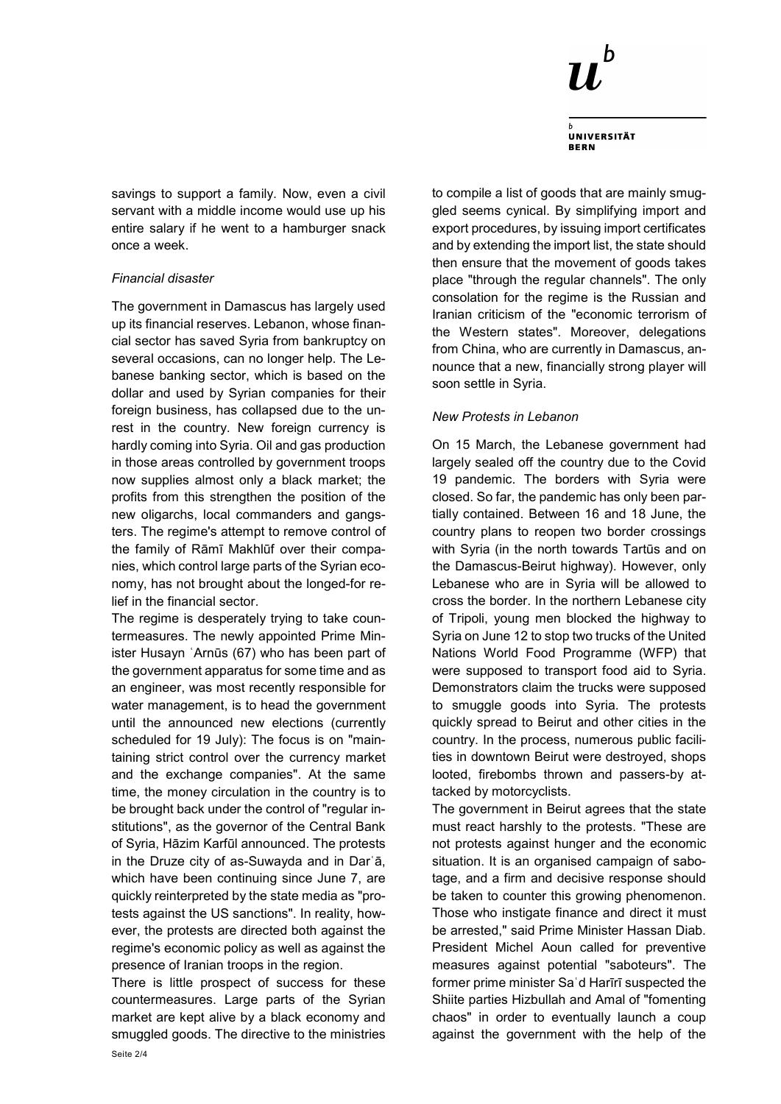

**UNIVERSITÄT BERN** 

savings to support a family. Now, even a civil servant with a middle income would use up his entire salary if he went to a hamburger snack once a week.

# *Financial disaster*

The government in Damascus has largely used up its financial reserves. Lebanon, whose financial sector has saved Syria from bankruptcy on several occasions, can no longer help. The Lebanese banking sector, which is based on the dollar and used by Syrian companies for their foreign business, has collapsed due to the unrest in the country. New foreign currency is hardly coming into Syria. Oil and gas production in those areas controlled by government troops now supplies almost only a black market; the profits from this strengthen the position of the new oligarchs, local commanders and gangsters. The regime's attempt to remove control of the family of Rāmī Makhlūf over their companies, which control large parts of the Syrian economy, has not brought about the longed-for relief in the financial sector.

The regime is desperately trying to take countermeasures. The newly appointed Prime Minister Husayn ʿArnūs (67) who has been part of the government apparatus for some time and as an engineer, was most recently responsible for water management, is to head the government until the announced new elections (currently scheduled for 19 July): The focus is on "maintaining strict control over the currency market and the exchange companies". At the same time, the money circulation in the country is to be brought back under the control of "regular institutions", as the governor of the Central Bank of Syria, Hāzim Karfūl announced. The protests in the Druze city of as-Suwayda and in Darʿā, which have been continuing since June 7, are quickly reinterpreted by the state media as "protests against the US sanctions". In reality, however, the protests are directed both against the regime's economic policy as well as against the presence of Iranian troops in the region.

There is little prospect of success for these countermeasures. Large parts of the Syrian market are kept alive by a black economy and smuggled goods. The directive to the ministries

to compile a list of goods that are mainly smuggled seems cynical. By simplifying import and export procedures, by issuing import certificates and by extending the import list, the state should then ensure that the movement of goods takes place "through the regular channels". The only consolation for the regime is the Russian and Iranian criticism of the "economic terrorism of the Western states". Moreover, delegations from China, who are currently in Damascus, announce that a new, financially strong player will soon settle in Syria.

### *New Protests in Lebanon*

On 15 March, the Lebanese government had largely sealed off the country due to the Covid 19 pandemic. The borders with Syria were closed. So far, the pandemic has only been partially contained. Between 16 and 18 June, the country plans to reopen two border crossings with Syria (in the north towards Tartūs and on the Damascus-Beirut highway). However, only Lebanese who are in Syria will be allowed to cross the border. In the northern Lebanese city of Tripoli, young men blocked the highway to Syria on June 12 to stop two trucks of the United Nations World Food Programme (WFP) that were supposed to transport food aid to Syria. Demonstrators claim the trucks were supposed to smuggle goods into Syria. The protests quickly spread to Beirut and other cities in the country. In the process, numerous public facilities in downtown Beirut were destroyed, shops looted, firebombs thrown and passers-by attacked by motorcyclists.

The government in Beirut agrees that the state must react harshly to the protests. "These are not protests against hunger and the economic situation. It is an organised campaign of sabotage, and a firm and decisive response should be taken to counter this growing phenomenon. Those who instigate finance and direct it must be arrested," said Prime Minister Hassan Diab. President Michel Aoun called for preventive measures against potential "saboteurs". The former prime minister Saʿd Harīrī suspected the Shiite parties Hizbullah and Amal of "fomenting chaos" in order to eventually launch a coup against the government with the help of the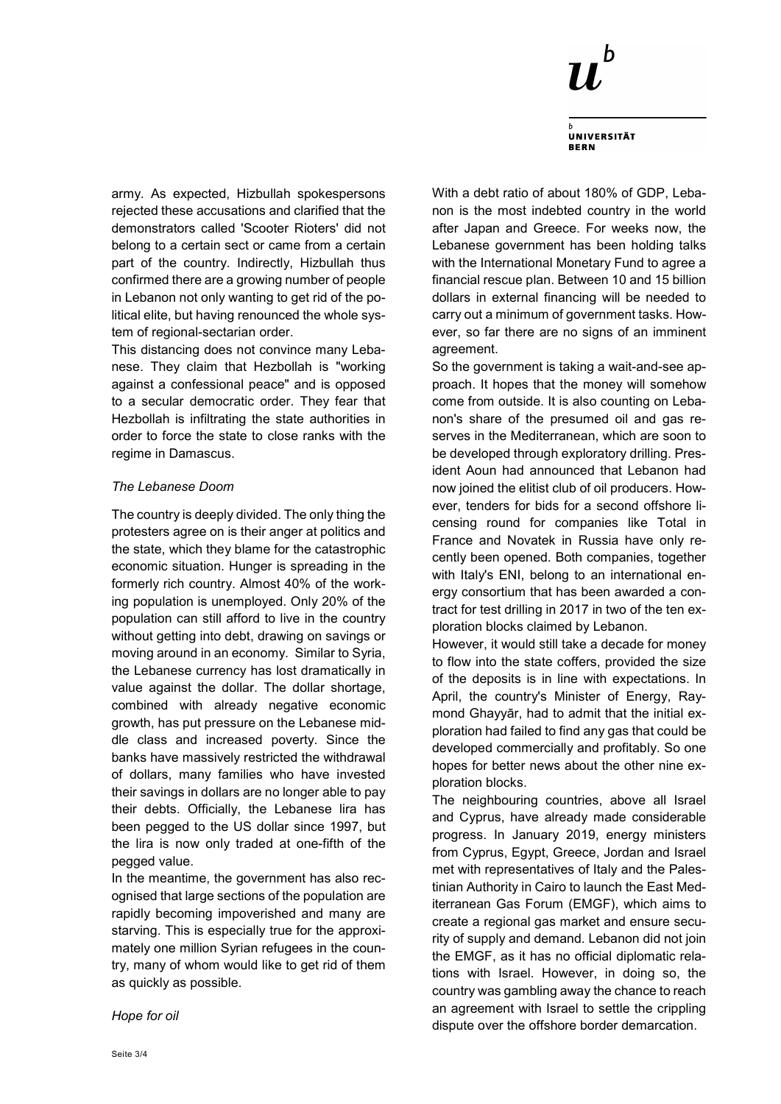

**UNIVERSITÄT BERN** 

army. As expected, Hizbullah spokespersons rejected these accusations and clarified that the demonstrators called 'Scooter Rioters' did not belong to a certain sect or came from a certain part of the country. Indirectly, Hizbullah thus confirmed there are a growing number of people in Lebanon not only wanting to get rid of the political elite, but having renounced the whole system of regional-sectarian order.

This distancing does not convince many Lebanese. They claim that Hezbollah is "working against a confessional peace" and is opposed to a secular democratic order. They fear that Hezbollah is infiltrating the state authorities in order to force the state to close ranks with the regime in Damascus.

### *The Lebanese Doom*

The country is deeply divided. The only thing the protesters agree on is their anger at politics and the state, which they blame for the catastrophic economic situation. Hunger is spreading in the formerly rich country. Almost 40% of the working population is unemployed. Only 20% of the population can still afford to live in the country without getting into debt, drawing on savings or moving around in an economy. Similar to Syria, the Lebanese currency has lost dramatically in value against the dollar. The dollar shortage, combined with already negative economic growth, has put pressure on the Lebanese middle class and increased poverty. Since the banks have massively restricted the withdrawal of dollars, many families who have invested their savings in dollars are no longer able to pay their debts. Officially, the Lebanese lira has been pegged to the US dollar since 1997, but the lira is now only traded at one-fifth of the pegged value.

In the meantime, the government has also recognised that large sections of the population are rapidly becoming impoverished and many are starving. This is especially true for the approximately one million Syrian refugees in the country, many of whom would like to get rid of them as quickly as possible.

With a debt ratio of about 180% of GDP, Lebanon is the most indebted country in the world after Japan and Greece. For weeks now, the Lebanese government has been holding talks with the International Monetary Fund to agree a financial rescue plan. Between 10 and 15 billion dollars in external financing will be needed to carry out a minimum of government tasks. However, so far there are no signs of an imminent agreement.

So the government is taking a wait-and-see approach. It hopes that the money will somehow come from outside. It is also counting on Lebanon's share of the presumed oil and gas reserves in the Mediterranean, which are soon to be developed through exploratory drilling. President Aoun had announced that Lebanon had now joined the elitist club of oil producers. However, tenders for bids for a second offshore licensing round for companies like Total in France and Novatek in Russia have only recently been opened. Both companies, together with Italy's ENI, belong to an international energy consortium that has been awarded a contract for test drilling in 2017 in two of the ten exploration blocks claimed by Lebanon.

However, it would still take a decade for money to flow into the state coffers, provided the size of the deposits is in line with expectations. In April, the country's Minister of Energy, Raymond Ghayyār, had to admit that the initial exploration had failed to find any gas that could be developed commercially and profitably. So one hopes for better news about the other nine exploration blocks.

The neighbouring countries, above all Israel and Cyprus, have already made considerable progress. In January 2019, energy ministers from Cyprus, Egypt, Greece, Jordan and Israel met with representatives of Italy and the Palestinian Authority in Cairo to launch the East Mediterranean Gas Forum (EMGF), which aims to create a regional gas market and ensure security of supply and demand. Lebanon did not join the EMGF, as it has no official diplomatic relations with Israel. However, in doing so, the country was gambling away the chance to reach an agreement with Israel to settle the crippling dispute over the offshore border demarcation.

*Hope for oil*